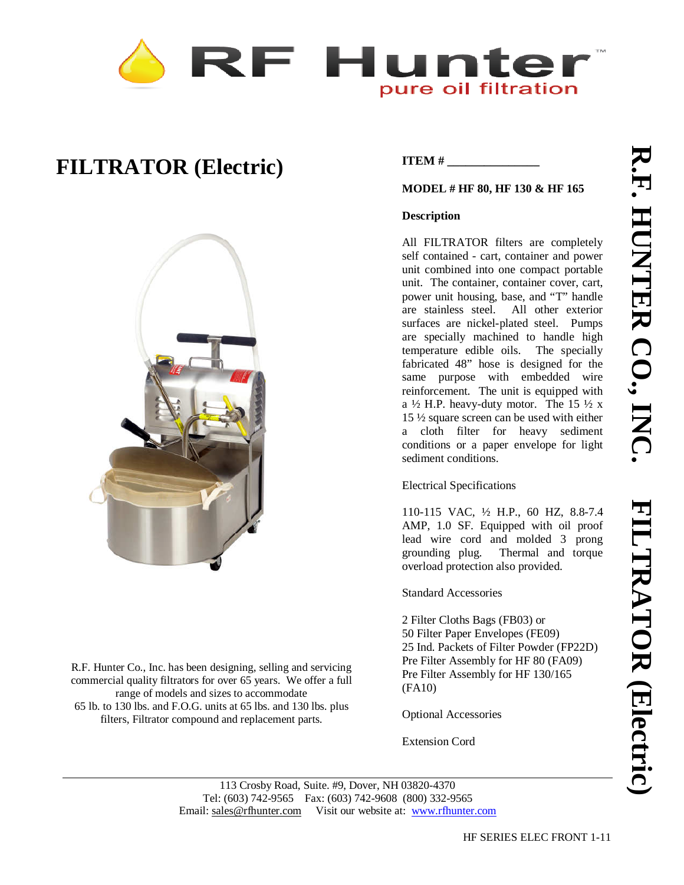# F Hunte pure oil filtration

## **FILTRATOR (Electric)**



R.F. Hunter Co., Inc. has been designing, selling and servicing commercial quality filtrators for over 65 years. We offer a full range of models and sizes to accommodate 65 lb. to 130 lbs. and F.O.G. units at 65 lbs. and 130 lbs. plus filters, Filtrator compound and replacement parts.

### **ITEM #**

#### **MODEL # HF 80, HF 130 & HF 165**

#### **Description**

All FILTRATOR filters are completely self contained - cart, container and power unit combined into one compact portable unit. The container, container cover, cart, power unit housing, base, and "T" handle are stainless steel. All other exterior surfaces are nickel-plated steel. Pumps are specially machined to handle high temperature edible oils. The specially fabricated 48" hose is designed for the same purpose with embedded wire reinforcement. The unit is equipped with a  $\frac{1}{2}$  H.P. heavy-duty motor. The 15  $\frac{1}{2}$  x 15 ½ square screen can be used with either a cloth filter for heavy sediment conditions or a paper envelope for light sediment conditions.

Electrical Specifications

110-115 VAC, ½ H.P., 60 HZ, 8.8-7.4 AMP, 1.0 SF. Equipped with oil proof lead wire cord and molded 3 prong grounding plug. Thermal and torque overload protection also provided.

Standard Accessories

2 Filter Cloths Bags (FB03) or 50 Filter Paper Envelopes (FE09) 25 Ind. Packets of Filter Powder (FP22D) Pre Filter Assembly for HF 80 (FA09) Pre Filter Assembly for HF 130/165 (FA10)

Optional Accessories

Extension Cord

113 Crosby Road, Suite. #9, Dover, NH 03820-4370 Tel: (603) 742-9565 Fax: (603) 742-9608 (800) 332-9565 Email: sales@rfhunter.com Visit our website at: www.rfhunter.com